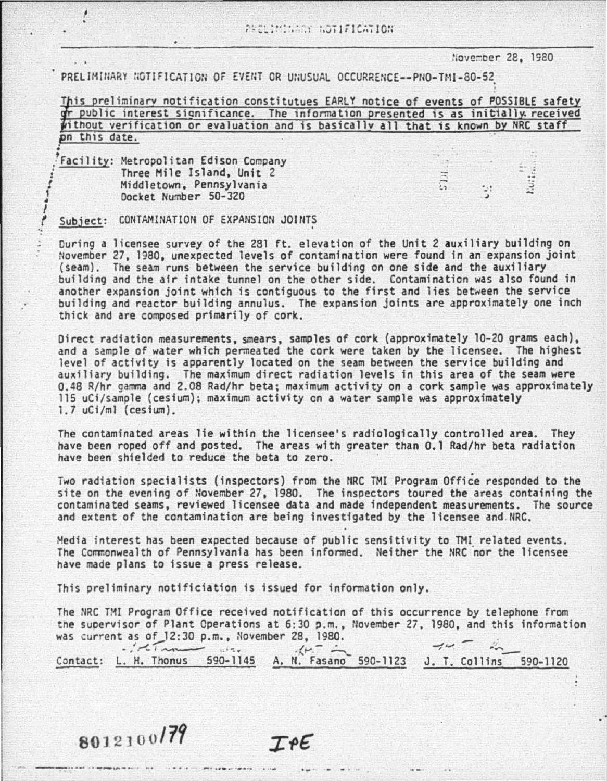## t.ove:::oer 2e, 1980

| PRELIMINARY NOTIFICATION OF EVENT OR UNUSUAL OCCURRENCE--PNO-TMI-80-52                                                                                                                                                               |
|--------------------------------------------------------------------------------------------------------------------------------------------------------------------------------------------------------------------------------------|
| This preliminary notification constitutues EARLY notice of events of POSSIBLE safety<br>of public interest significance. The information presented is as initially received<br>without verification or evaluation and is basically a |
|                                                                                                                                                                                                                                      |
|                                                                                                                                                                                                                                      |
| pn this date.                                                                                                                                                                                                                        |

Facility: Metropolitan Edison Company Three Mile Island, Unit 2 Middletown, Pennsylvania • Docket Number 50-320

1 .

1

I

## Subject: CONTAMINATION OF EXPANSION JOINTS

During a licensee survey of the 281 ft. elevation of the Unit 2 auxiliary building on November 27, 1980, unexpected levels of contamination were found in an expansion joint (seam). The seam runs between the service building on one side and the auxiliary building and the air intake tunnel on the other side. Contamination was also found in another expansion joint which is contiguous to the first and lies between the service building and reactor building annulus. The expansion joints are approximately one inch thick and are composed primarily of cork.

Direct radiation measurements, smears, samples of cork (approximately 10-20 grams each), and a sample of water which permeated the cork were taken by the licensee. The highest<br>level of activity is apparently located on the seam between the service building and level of activity is apparently located on the seam between the service building and<br>auxiliary building. The maximum direct radiation levels in this area of the seam were 0.48 R/hr gamma and 2.08 Rad/hr beta; maximum activity on a cork sample was approximately<br>115 uCi/sample (cesium); maximum activity on a water sample was approximately 1. 7 uCf/ml ( ces fum).

The contaminated areas lie within the licensee's radiologically controlled area. They have been roped off and posted. The areas with greater than 0.1 Rad/hr beta radiation have been shielded to reduce the beta to zero.

Two radiation specialists (inspectors) from the NRC TMI Program Office responded to the site on the evening of November 27, 1980. The inspectors toured the areas containing the contaminated seams, reviewed licensee data and made independent measurements. The source and extent of the contamination are being investigated by the licensee and.NRC.

Media interest has been expected because of public sensitivity to TMI related events. The Ccmmonwealth of Pennsylvania has been informed. Neither the NRC nor the licensee have made plans to issue a press release.

This prel iminary notificiation is issued for information only.

The NRC TMI Program Office received notification of this occurrence by telephone from the supervisor of Plant Operations at 6:30 p.m., November 27, 1980, and this information was current as of  $12:30$  p.m., November 28, 1980.

was current as of 12:30 p.m., November 28, 1980.<br>Contact: L. H. Thonus 590-1145 A. N. Fasano 590-1123 J. T. Collins 590-1120